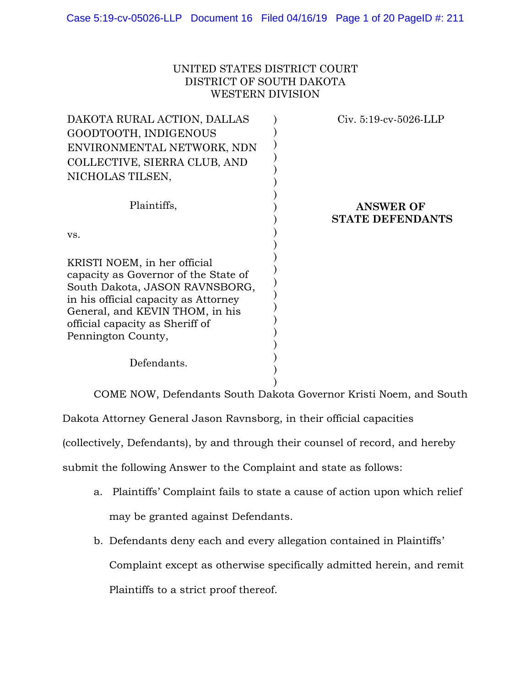## UNITED STATES DISTRICT COURT DISTRICT OF SOUTH DAKOTA WESTERN DIVISION

| $Civ. 5:19-cv-5026-LLP$ |                                             |
|-------------------------|---------------------------------------------|
|                         |                                             |
|                         | <b>ANSWER OF</b><br><b>STATE DEFENDANTS</b> |
|                         |                                             |
|                         |                                             |
|                         |                                             |
|                         |                                             |

) COME NOW, Defendants South Dakota Governor Kristi Noem, and South

Dakota Attorney General Jason Ravnsborg, in their official capacities

(collectively, Defendants), by and through their counsel of record, and hereby

submit the following Answer to the Complaint and state as follows:

- a. Plaintiffs' Complaint fails to state a cause of action upon which relief may be granted against Defendants.
- b. Defendants deny each and every allegation contained in Plaintiffs' Complaint except as otherwise specifically admitted herein, and remit Plaintiffs to a strict proof thereof.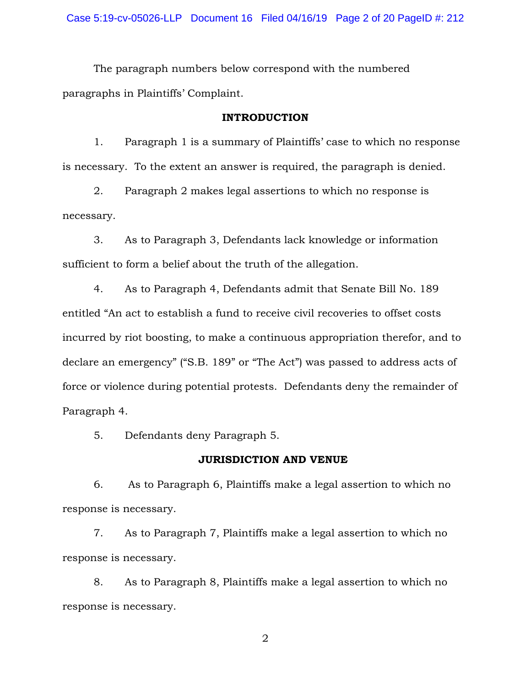The paragraph numbers below correspond with the numbered paragraphs in Plaintiffs' Complaint.

#### **INTRODUCTION**

1. Paragraph 1 is a summary of Plaintiffs' case to which no response is necessary. To the extent an answer is required, the paragraph is denied.

2. Paragraph 2 makes legal assertions to which no response is necessary.

3. As to Paragraph 3, Defendants lack knowledge or information sufficient to form a belief about the truth of the allegation.

4. As to Paragraph 4, Defendants admit that Senate Bill No. 189 entitled "An act to establish a fund to receive civil recoveries to offset costs incurred by riot boosting, to make a continuous appropriation therefor, and to declare an emergency" ("S.B. 189" or "The Act") was passed to address acts of force or violence during potential protests. Defendants deny the remainder of Paragraph 4.

5. Defendants deny Paragraph 5.

### **JURISDICTION AND VENUE**

6. As to Paragraph 6, Plaintiffs make a legal assertion to which no response is necessary.

7. As to Paragraph 7, Plaintiffs make a legal assertion to which no response is necessary.

8. As to Paragraph 8, Plaintiffs make a legal assertion to which no response is necessary.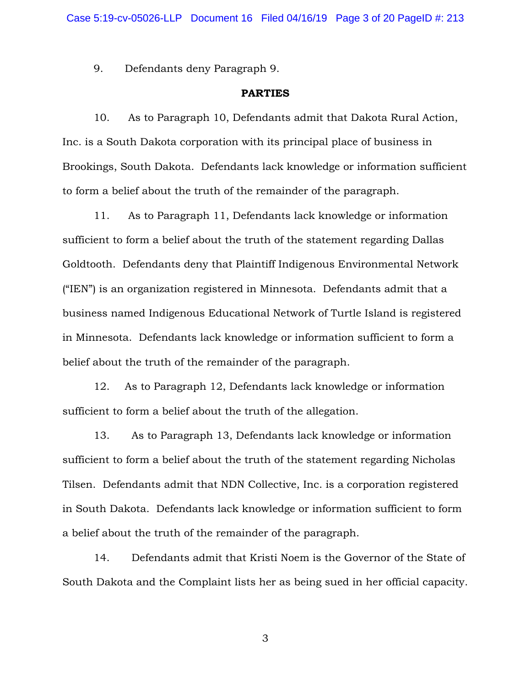9. Defendants deny Paragraph 9.

### **PARTIES**

10. As to Paragraph 10, Defendants admit that Dakota Rural Action, Inc. is a South Dakota corporation with its principal place of business in Brookings, South Dakota. Defendants lack knowledge or information sufficient to form a belief about the truth of the remainder of the paragraph.

11. As to Paragraph 11, Defendants lack knowledge or information sufficient to form a belief about the truth of the statement regarding Dallas Goldtooth. Defendants deny that Plaintiff Indigenous Environmental Network ("IEN") is an organization registered in Minnesota. Defendants admit that a business named Indigenous Educational Network of Turtle Island is registered in Minnesota. Defendants lack knowledge or information sufficient to form a belief about the truth of the remainder of the paragraph.

12. As to Paragraph 12, Defendants lack knowledge or information sufficient to form a belief about the truth of the allegation.

13. As to Paragraph 13, Defendants lack knowledge or information sufficient to form a belief about the truth of the statement regarding Nicholas Tilsen. Defendants admit that NDN Collective, Inc. is a corporation registered in South Dakota. Defendants lack knowledge or information sufficient to form a belief about the truth of the remainder of the paragraph.

14. Defendants admit that Kristi Noem is the Governor of the State of South Dakota and the Complaint lists her as being sued in her official capacity.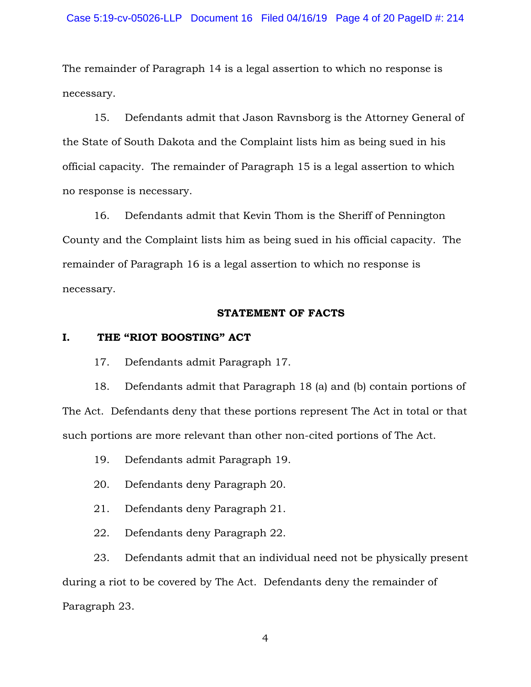The remainder of Paragraph 14 is a legal assertion to which no response is necessary.

15. Defendants admit that Jason Ravnsborg is the Attorney General of the State of South Dakota and the Complaint lists him as being sued in his official capacity. The remainder of Paragraph 15 is a legal assertion to which no response is necessary.

16. Defendants admit that Kevin Thom is the Sheriff of Pennington County and the Complaint lists him as being sued in his official capacity. The remainder of Paragraph 16 is a legal assertion to which no response is necessary.

### **STATEMENT OF FACTS**

### **I. THE "RIOT BOOSTING" ACT**

17. Defendants admit Paragraph 17.

18. Defendants admit that Paragraph 18 (a) and (b) contain portions of The Act. Defendants deny that these portions represent The Act in total or that such portions are more relevant than other non-cited portions of The Act.

19. Defendants admit Paragraph 19.

20. Defendants deny Paragraph 20.

21. Defendants deny Paragraph 21.

22. Defendants deny Paragraph 22.

23. Defendants admit that an individual need not be physically present during a riot to be covered by The Act. Defendants deny the remainder of Paragraph 23.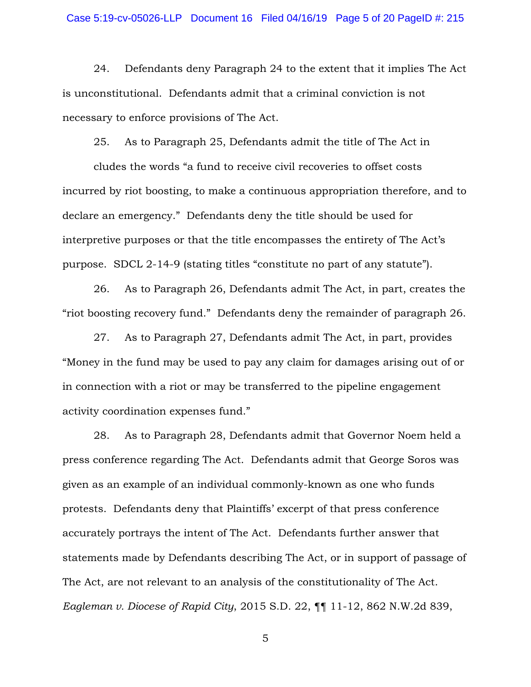24. Defendants deny Paragraph 24 to the extent that it implies The Act is unconstitutional. Defendants admit that a criminal conviction is not necessary to enforce provisions of The Act.

25. As to Paragraph 25, Defendants admit the title of The Act in

cludes the words "a fund to receive civil recoveries to offset costs incurred by riot boosting, to make a continuous appropriation therefore, and to declare an emergency." Defendants deny the title should be used for interpretive purposes or that the title encompasses the entirety of The Act's purpose. SDCL 2-14-9 (stating titles "constitute no part of any statute").

26. As to Paragraph 26, Defendants admit The Act, in part, creates the "riot boosting recovery fund." Defendants deny the remainder of paragraph 26.

27. As to Paragraph 27, Defendants admit The Act, in part, provides "Money in the fund may be used to pay any claim for damages arising out of or in connection with a riot or may be transferred to the pipeline engagement activity coordination expenses fund."

28. As to Paragraph 28, Defendants admit that Governor Noem held a press conference regarding The Act. Defendants admit that George Soros was given as an example of an individual commonly-known as one who funds protests. Defendants deny that Plaintiffs' excerpt of that press conference accurately portrays the intent of The Act. Defendants further answer that statements made by Defendants describing The Act, or in support of passage of The Act, are not relevant to an analysis of the constitutionality of The Act. *Eagleman v. Diocese of Rapid City*, 2015 S.D. 22, ¶¶ 11-12, 862 N.W.2d 839,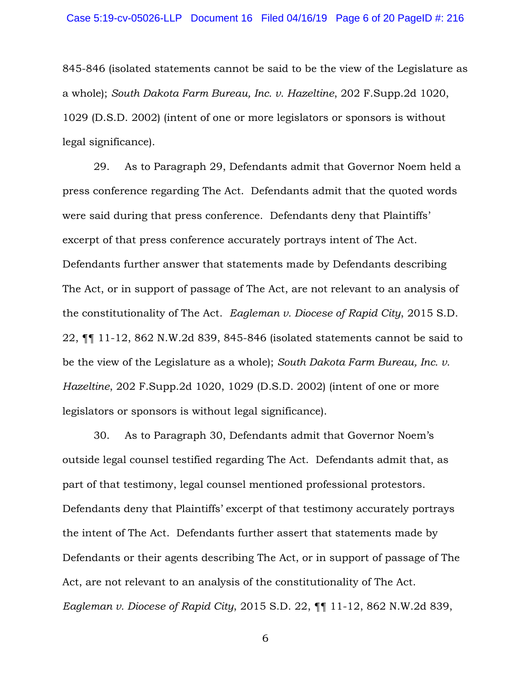845-846 (isolated statements cannot be said to be the view of the Legislature as a whole); *South Dakota Farm Bureau, Inc. v. Hazeltine*, 202 F.Supp.2d 1020, 1029 (D.S.D. 2002) (intent of one or more legislators or sponsors is without legal significance).

29. As to Paragraph 29, Defendants admit that Governor Noem held a press conference regarding The Act. Defendants admit that the quoted words were said during that press conference. Defendants deny that Plaintiffs' excerpt of that press conference accurately portrays intent of The Act. Defendants further answer that statements made by Defendants describing The Act, or in support of passage of The Act, are not relevant to an analysis of the constitutionality of The Act. *Eagleman v. Diocese of Rapid City*, 2015 S.D. 22, ¶¶ 11-12, 862 N.W.2d 839, 845-846 (isolated statements cannot be said to be the view of the Legislature as a whole); *South Dakota Farm Bureau, Inc. v. Hazeltine*, 202 F.Supp.2d 1020, 1029 (D.S.D. 2002) (intent of one or more legislators or sponsors is without legal significance).

30. As to Paragraph 30, Defendants admit that Governor Noem's outside legal counsel testified regarding The Act. Defendants admit that, as part of that testimony, legal counsel mentioned professional protestors. Defendants deny that Plaintiffs' excerpt of that testimony accurately portrays the intent of The Act. Defendants further assert that statements made by Defendants or their agents describing The Act, or in support of passage of The Act, are not relevant to an analysis of the constitutionality of The Act. *Eagleman v. Diocese of Rapid City*, 2015 S.D. 22, ¶¶ 11-12, 862 N.W.2d 839,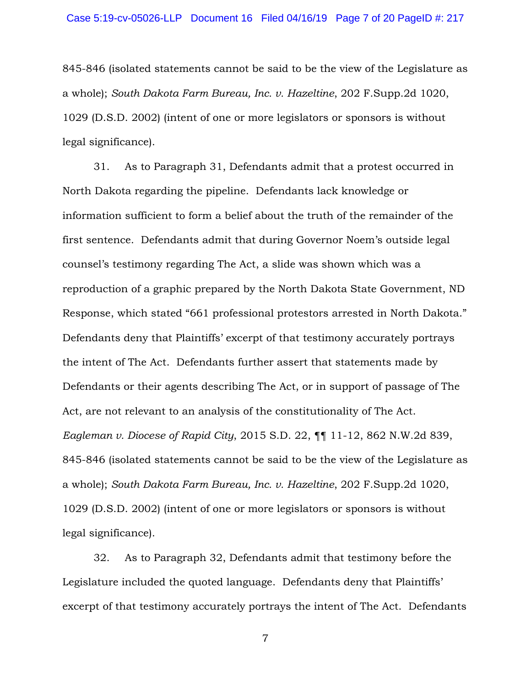845-846 (isolated statements cannot be said to be the view of the Legislature as a whole); *South Dakota Farm Bureau, Inc. v. Hazeltine*, 202 F.Supp.2d 1020, 1029 (D.S.D. 2002) (intent of one or more legislators or sponsors is without legal significance).

31. As to Paragraph 31, Defendants admit that a protest occurred in North Dakota regarding the pipeline. Defendants lack knowledge or information sufficient to form a belief about the truth of the remainder of the first sentence. Defendants admit that during Governor Noem's outside legal counsel's testimony regarding The Act, a slide was shown which was a reproduction of a graphic prepared by the North Dakota State Government, ND Response, which stated "661 professional protestors arrested in North Dakota." Defendants deny that Plaintiffs' excerpt of that testimony accurately portrays the intent of The Act. Defendants further assert that statements made by Defendants or their agents describing The Act, or in support of passage of The Act, are not relevant to an analysis of the constitutionality of The Act. *Eagleman v. Diocese of Rapid City*, 2015 S.D. 22, ¶¶ 11-12, 862 N.W.2d 839, 845-846 (isolated statements cannot be said to be the view of the Legislature as a whole); *South Dakota Farm Bureau, Inc. v. Hazeltine*, 202 F.Supp.2d 1020, 1029 (D.S.D. 2002) (intent of one or more legislators or sponsors is without legal significance).

32. As to Paragraph 32, Defendants admit that testimony before the Legislature included the quoted language. Defendants deny that Plaintiffs' excerpt of that testimony accurately portrays the intent of The Act. Defendants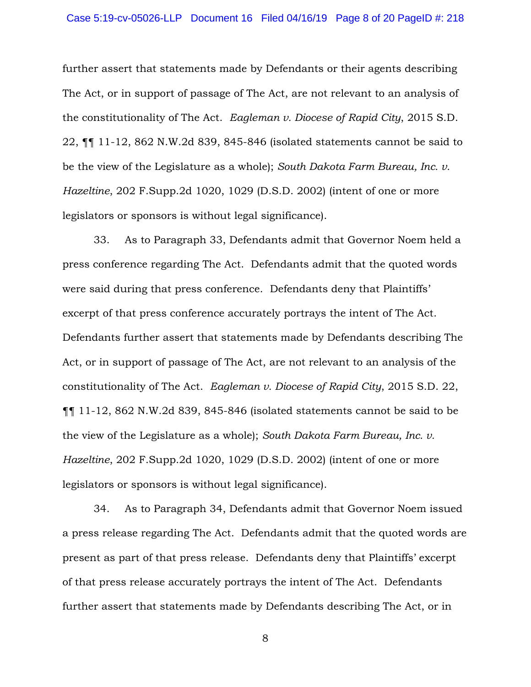further assert that statements made by Defendants or their agents describing The Act, or in support of passage of The Act, are not relevant to an analysis of the constitutionality of The Act. *Eagleman v. Diocese of Rapid City*, 2015 S.D. 22, ¶¶ 11-12, 862 N.W.2d 839, 845-846 (isolated statements cannot be said to be the view of the Legislature as a whole); *South Dakota Farm Bureau, Inc. v. Hazeltine*, 202 F.Supp.2d 1020, 1029 (D.S.D. 2002) (intent of one or more legislators or sponsors is without legal significance).

33. As to Paragraph 33, Defendants admit that Governor Noem held a press conference regarding The Act. Defendants admit that the quoted words were said during that press conference. Defendants deny that Plaintiffs' excerpt of that press conference accurately portrays the intent of The Act. Defendants further assert that statements made by Defendants describing The Act, or in support of passage of The Act, are not relevant to an analysis of the constitutionality of The Act. *Eagleman v. Diocese of Rapid City*, 2015 S.D. 22, ¶¶ 11-12, 862 N.W.2d 839, 845-846 (isolated statements cannot be said to be the view of the Legislature as a whole); *South Dakota Farm Bureau, Inc. v. Hazeltine*, 202 F.Supp.2d 1020, 1029 (D.S.D. 2002) (intent of one or more legislators or sponsors is without legal significance).

34. As to Paragraph 34, Defendants admit that Governor Noem issued a press release regarding The Act. Defendants admit that the quoted words are present as part of that press release. Defendants deny that Plaintiffs' excerpt of that press release accurately portrays the intent of The Act. Defendants further assert that statements made by Defendants describing The Act, or in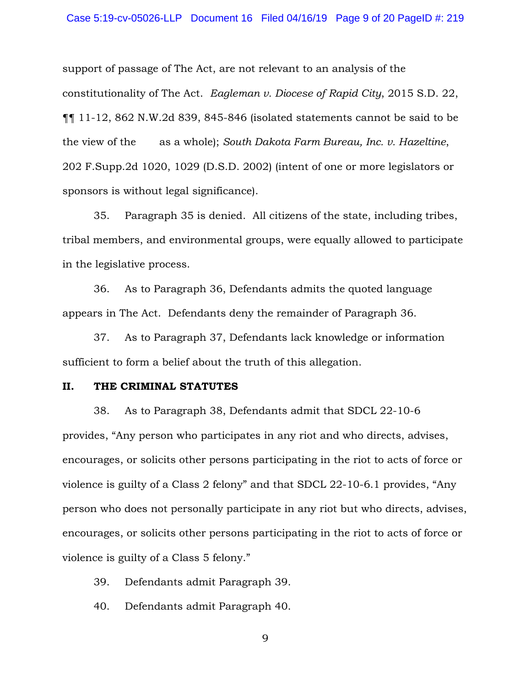support of passage of The Act, are not relevant to an analysis of the constitutionality of The Act. *Eagleman v. Diocese of Rapid City*, 2015 S.D. 22, ¶¶ 11-12, 862 N.W.2d 839, 845-846 (isolated statements cannot be said to be the view of the as a whole); *South Dakota Farm Bureau, Inc. v. Hazeltine*, 202 F.Supp.2d 1020, 1029 (D.S.D. 2002) (intent of one or more legislators or sponsors is without legal significance).

35. Paragraph 35 is denied. All citizens of the state, including tribes, tribal members, and environmental groups, were equally allowed to participate in the legislative process.

36. As to Paragraph 36, Defendants admits the quoted language appears in The Act. Defendants deny the remainder of Paragraph 36.

37. As to Paragraph 37, Defendants lack knowledge or information sufficient to form a belief about the truth of this allegation.

### **II. THE CRIMINAL STATUTES**

38. As to Paragraph 38, Defendants admit that SDCL 22-10-6 provides, "Any person who participates in any riot and who directs, advises, encourages, or solicits other persons participating in the riot to acts of force or violence is guilty of a Class 2 felony" and that SDCL 22-10-6.1 provides, "Any person who does not personally participate in any riot but who directs, advises, encourages, or solicits other persons participating in the riot to acts of force or violence is guilty of a Class 5 felony."

39. Defendants admit Paragraph 39.

40. Defendants admit Paragraph 40.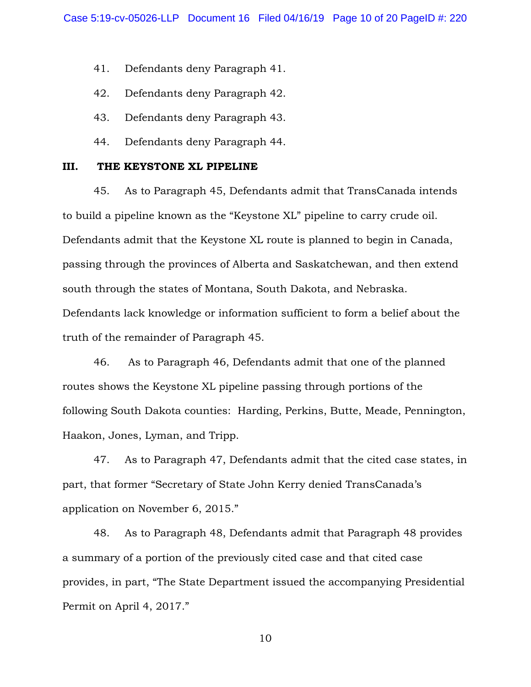41. Defendants deny Paragraph 41.

- 42. Defendants deny Paragraph 42.
- 43. Defendants deny Paragraph 43.
- 44. Defendants deny Paragraph 44.

#### **III. THE KEYSTONE XL PIPELINE**

45. As to Paragraph 45, Defendants admit that TransCanada intends to build a pipeline known as the "Keystone XL" pipeline to carry crude oil. Defendants admit that the Keystone XL route is planned to begin in Canada, passing through the provinces of Alberta and Saskatchewan, and then extend south through the states of Montana, South Dakota, and Nebraska. Defendants lack knowledge or information sufficient to form a belief about the truth of the remainder of Paragraph 45.

46. As to Paragraph 46, Defendants admit that one of the planned routes shows the Keystone XL pipeline passing through portions of the following South Dakota counties: Harding, Perkins, Butte, Meade, Pennington, Haakon, Jones, Lyman, and Tripp.

47. As to Paragraph 47, Defendants admit that the cited case states, in part, that former "Secretary of State John Kerry denied TransCanada's application on November 6, 2015."

48. As to Paragraph 48, Defendants admit that Paragraph 48 provides a summary of a portion of the previously cited case and that cited case provides, in part, "The State Department issued the accompanying Presidential Permit on April 4, 2017."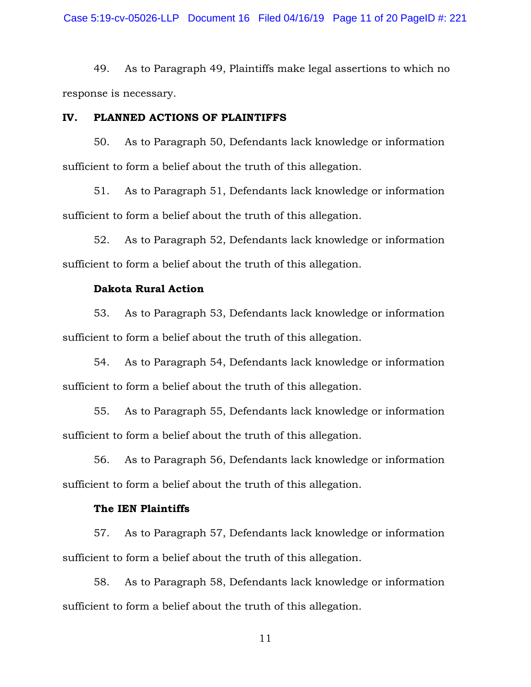49. As to Paragraph 49, Plaintiffs make legal assertions to which no response is necessary.

### **IV. PLANNED ACTIONS OF PLAINTIFFS**

50. As to Paragraph 50, Defendants lack knowledge or information sufficient to form a belief about the truth of this allegation.

51. As to Paragraph 51, Defendants lack knowledge or information sufficient to form a belief about the truth of this allegation.

52. As to Paragraph 52, Defendants lack knowledge or information sufficient to form a belief about the truth of this allegation.

### **Dakota Rural Action**

53. As to Paragraph 53, Defendants lack knowledge or information sufficient to form a belief about the truth of this allegation.

54. As to Paragraph 54, Defendants lack knowledge or information sufficient to form a belief about the truth of this allegation.

55. As to Paragraph 55, Defendants lack knowledge or information sufficient to form a belief about the truth of this allegation.

56. As to Paragraph 56, Defendants lack knowledge or information sufficient to form a belief about the truth of this allegation.

### **The IEN Plaintiffs**

57. As to Paragraph 57, Defendants lack knowledge or information sufficient to form a belief about the truth of this allegation.

58. As to Paragraph 58, Defendants lack knowledge or information sufficient to form a belief about the truth of this allegation.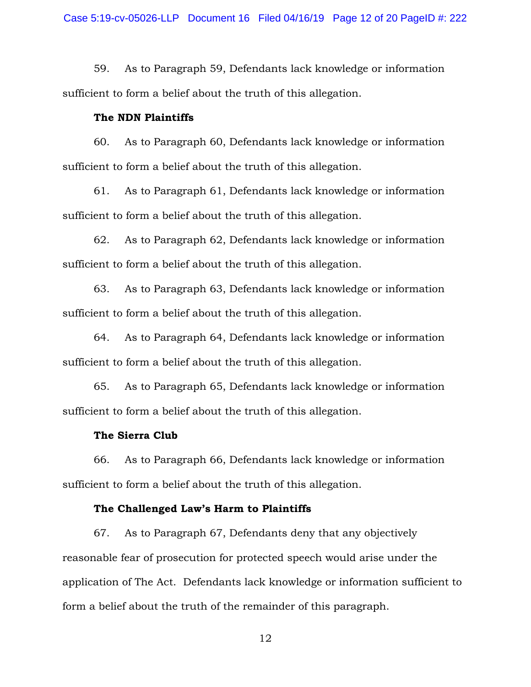59. As to Paragraph 59, Defendants lack knowledge or information sufficient to form a belief about the truth of this allegation.

### **The NDN Plaintiffs**

60. As to Paragraph 60, Defendants lack knowledge or information sufficient to form a belief about the truth of this allegation.

61. As to Paragraph 61, Defendants lack knowledge or information sufficient to form a belief about the truth of this allegation.

62. As to Paragraph 62, Defendants lack knowledge or information sufficient to form a belief about the truth of this allegation.

63. As to Paragraph 63, Defendants lack knowledge or information sufficient to form a belief about the truth of this allegation.

64. As to Paragraph 64, Defendants lack knowledge or information sufficient to form a belief about the truth of this allegation.

65. As to Paragraph 65, Defendants lack knowledge or information sufficient to form a belief about the truth of this allegation.

### **The Sierra Club**

66. As to Paragraph 66, Defendants lack knowledge or information sufficient to form a belief about the truth of this allegation.

### **The Challenged Law's Harm to Plaintiffs**

67. As to Paragraph 67, Defendants deny that any objectively reasonable fear of prosecution for protected speech would arise under the application of The Act. Defendants lack knowledge or information sufficient to form a belief about the truth of the remainder of this paragraph.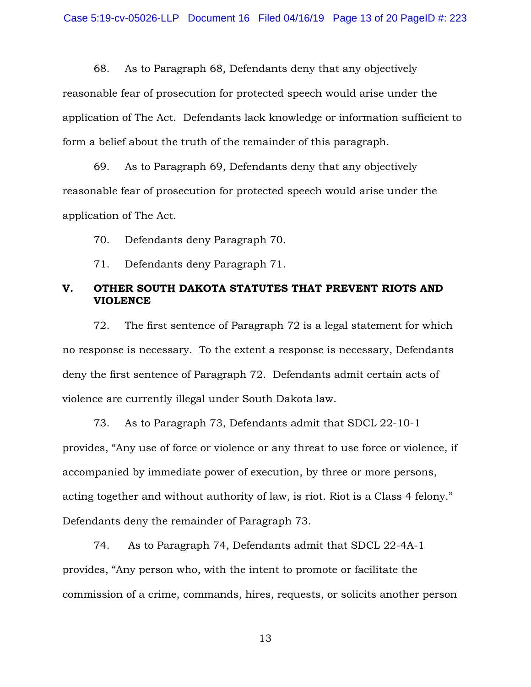68. As to Paragraph 68, Defendants deny that any objectively reasonable fear of prosecution for protected speech would arise under the application of The Act. Defendants lack knowledge or information sufficient to form a belief about the truth of the remainder of this paragraph.

69. As to Paragraph 69, Defendants deny that any objectively reasonable fear of prosecution for protected speech would arise under the application of The Act.

70. Defendants deny Paragraph 70.

71. Defendants deny Paragraph 71.

### **V. OTHER SOUTH DAKOTA STATUTES THAT PREVENT RIOTS AND VIOLENCE**

72. The first sentence of Paragraph 72 is a legal statement for which no response is necessary. To the extent a response is necessary, Defendants deny the first sentence of Paragraph 72. Defendants admit certain acts of violence are currently illegal under South Dakota law.

73. As to Paragraph 73, Defendants admit that SDCL 22-10-1 provides, "Any use of force or violence or any threat to use force or violence, if accompanied by immediate power of execution, by three or more persons, acting together and without authority of law, is riot. Riot is a Class 4 felony." Defendants deny the remainder of Paragraph 73.

74. As to Paragraph 74, Defendants admit that SDCL 22-4A-1 provides, "Any person who, with the intent to promote or facilitate the commission of a crime, commands, hires, requests, or solicits another person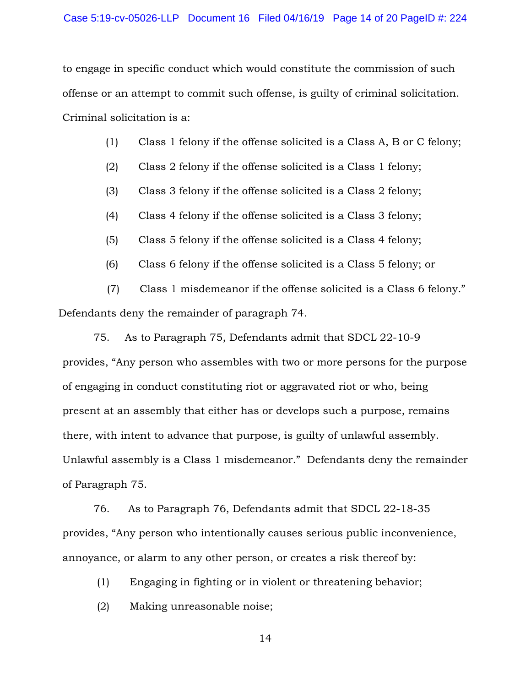to engage in specific conduct which would constitute the commission of such offense or an attempt to commit such offense, is guilty of criminal solicitation. Criminal solicitation is a:

- (1) Class 1 felony if the offense solicited is a Class A, B or C felony;
- (2) Class 2 felony if the offense solicited is a Class 1 felony;
- (3) Class 3 felony if the offense solicited is a Class 2 felony;
- (4) Class 4 felony if the offense solicited is a Class 3 felony;
- (5) Class 5 felony if the offense solicited is a Class 4 felony;
- (6) Class 6 felony if the offense solicited is a Class 5 felony; or

 (7) Class 1 misdemeanor if the offense solicited is a Class 6 felony." Defendants deny the remainder of paragraph 74.

75. As to Paragraph 75, Defendants admit that SDCL 22-10-9 provides, "Any person who assembles with two or more persons for the purpose of engaging in conduct constituting riot or aggravated riot or who, being present at an assembly that either has or develops such a purpose, remains there, with intent to advance that purpose, is guilty of unlawful assembly. Unlawful assembly is a Class 1 misdemeanor." Defendants deny the remainder of Paragraph 75.

76. As to Paragraph 76, Defendants admit that SDCL 22-18-35 provides, "Any person who intentionally causes serious public inconvenience, annoyance, or alarm to any other person, or creates a risk thereof by:

(1) Engaging in fighting or in violent or threatening behavior;

(2) Making unreasonable noise;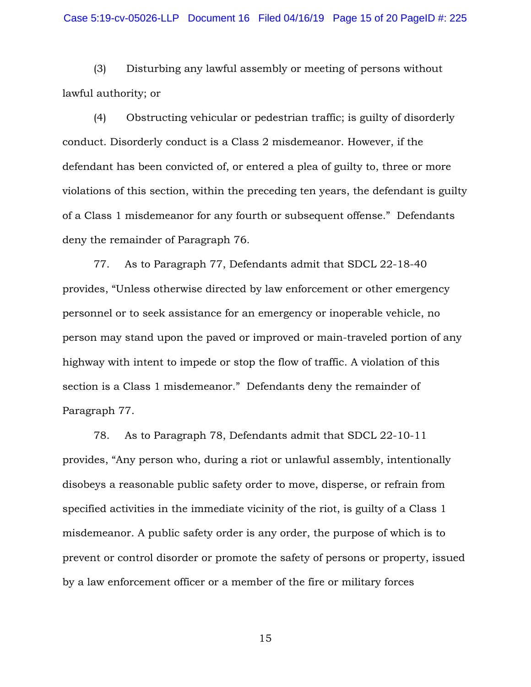### Case 5:19-cv-05026-LLP Document 16 Filed 04/16/19 Page 15 of 20 PageID #: 225

(3) Disturbing any lawful assembly or meeting of persons without lawful authority; or

(4) Obstructing vehicular or pedestrian traffic; is guilty of disorderly conduct. Disorderly conduct is a Class 2 misdemeanor. However, if the defendant has been convicted of, or entered a plea of guilty to, three or more violations of this section, within the preceding ten years, the defendant is guilty of a Class 1 misdemeanor for any fourth or subsequent offense." Defendants deny the remainder of Paragraph 76.

77. As to Paragraph 77, Defendants admit that SDCL 22-18-40 provides, "Unless otherwise directed by law enforcement or other emergency personnel or to seek assistance for an emergency or inoperable vehicle, no person may stand upon the paved or improved or main-traveled portion of any highway with intent to impede or stop the flow of traffic. A violation of this section is a Class 1 misdemeanor." Defendants deny the remainder of Paragraph 77.

78. As to Paragraph 78, Defendants admit that SDCL 22-10-11 provides, "Any person who, during a riot or unlawful assembly, intentionally disobeys a reasonable public safety order to move, disperse, or refrain from specified activities in the immediate vicinity of the riot, is guilty of a Class 1 misdemeanor. A public safety order is any order, the purpose of which is to prevent or control disorder or promote the safety of persons or property, issued by a law enforcement officer or a member of the fire or military forces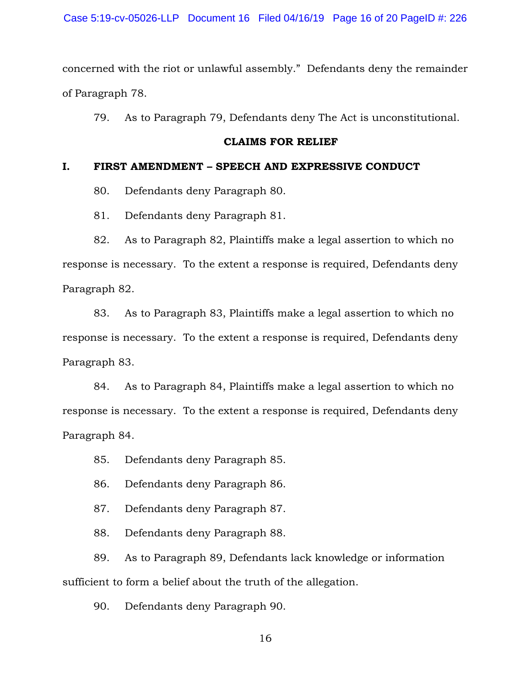concerned with the riot or unlawful assembly." Defendants deny the remainder of Paragraph 78.

79. As to Paragraph 79, Defendants deny The Act is unconstitutional.

#### **CLAIMS FOR RELIEF**

### **I. FIRST AMENDMENT – SPEECH AND EXPRESSIVE CONDUCT**

80. Defendants deny Paragraph 80.

81. Defendants deny Paragraph 81.

82. As to Paragraph 82, Plaintiffs make a legal assertion to which no response is necessary. To the extent a response is required, Defendants deny Paragraph 82.

83. As to Paragraph 83, Plaintiffs make a legal assertion to which no response is necessary. To the extent a response is required, Defendants deny Paragraph 83.

84. As to Paragraph 84, Plaintiffs make a legal assertion to which no response is necessary. To the extent a response is required, Defendants deny Paragraph 84.

85. Defendants deny Paragraph 85.

86. Defendants deny Paragraph 86.

87. Defendants deny Paragraph 87.

88. Defendants deny Paragraph 88.

89. As to Paragraph 89, Defendants lack knowledge or information sufficient to form a belief about the truth of the allegation.

90. Defendants deny Paragraph 90.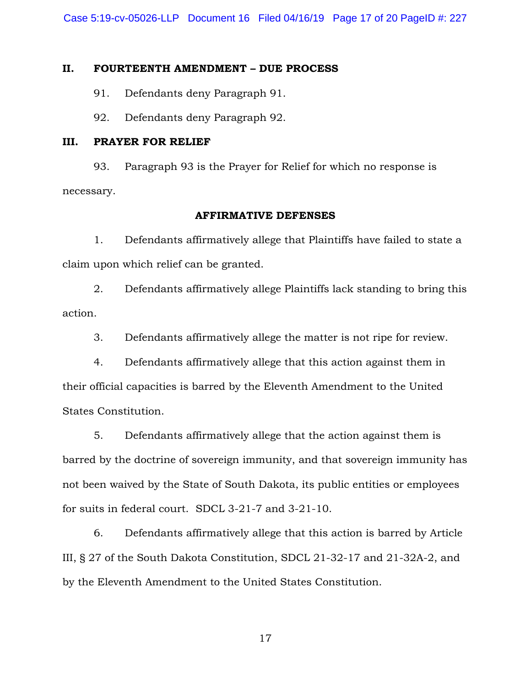Case 5:19-cv-05026-LLP Document 16 Filed 04/16/19 Page 17 of 20 PageID #: 227

### **II. FOURTEENTH AMENDMENT – DUE PROCESS**

91. Defendants deny Paragraph 91.

92. Defendants deny Paragraph 92.

### **III. PRAYER FOR RELIEF**

93. Paragraph 93 is the Prayer for Relief for which no response is necessary.

### **AFFIRMATIVE DEFENSES**

1. Defendants affirmatively allege that Plaintiffs have failed to state a claim upon which relief can be granted.

2. Defendants affirmatively allege Plaintiffs lack standing to bring this action.

3. Defendants affirmatively allege the matter is not ripe for review.

4. Defendants affirmatively allege that this action against them in their official capacities is barred by the Eleventh Amendment to the United States Constitution.

5. Defendants affirmatively allege that the action against them is barred by the doctrine of sovereign immunity, and that sovereign immunity has not been waived by the State of South Dakota, its public entities or employees for suits in federal court. SDCL 3-21-7 and 3-21-10.

6. Defendants affirmatively allege that this action is barred by Article III, § 27 of the South Dakota Constitution, SDCL 21-32-17 and 21-32A-2, and by the Eleventh Amendment to the United States Constitution.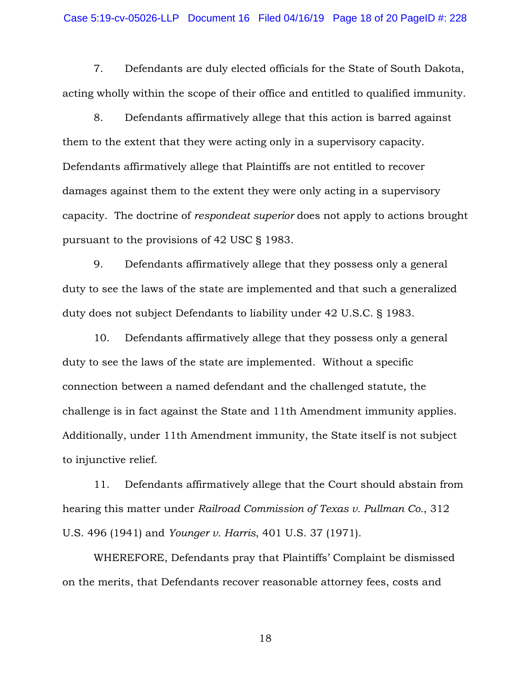7. Defendants are duly elected officials for the State of South Dakota, acting wholly within the scope of their office and entitled to qualified immunity.

8. Defendants affirmatively allege that this action is barred against them to the extent that they were acting only in a supervisory capacity. Defendants affirmatively allege that Plaintiffs are not entitled to recover damages against them to the extent they were only acting in a supervisory capacity. The doctrine of *respondeat superior* does not apply to actions brought pursuant to the provisions of 42 USC § 1983.

9. Defendants affirmatively allege that they possess only a general duty to see the laws of the state are implemented and that such a generalized duty does not subject Defendants to liability under 42 U.S.C. § 1983.

10. Defendants affirmatively allege that they possess only a general duty to see the laws of the state are implemented. Without a specific connection between a named defendant and the challenged statute, the challenge is in fact against the State and 11th Amendment immunity applies. Additionally, under 11th Amendment immunity, the State itself is not subject to injunctive relief.

11. Defendants affirmatively allege that the Court should abstain from hearing this matter under *Railroad Commission of Texas v. Pullman Co.*, 312 U.S. 496 (1941) and *Younger v. Harris*, 401 U.S. 37 (1971).

WHEREFORE, Defendants pray that Plaintiffs' Complaint be dismissed on the merits, that Defendants recover reasonable attorney fees, costs and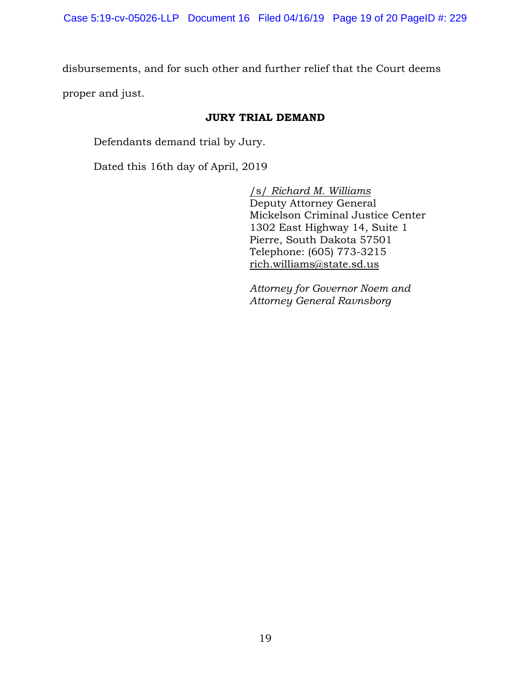disbursements, and for such other and further relief that the Court deems

proper and just.

## **JURY TRIAL DEMAND**

Defendants demand trial by Jury.

Dated this 16th day of April, 2019

/s/ *Richard M. Williams*  Deputy Attorney General Mickelson Criminal Justice Center 1302 East Highway 14, Suite 1 Pierre, South Dakota 57501 Telephone: (605) 773-3215 [rich.williams@state.sd.us](mailto:rich.williams@state.sd.us)

*Attorney for Governor Noem and Attorney General Ravnsborg*